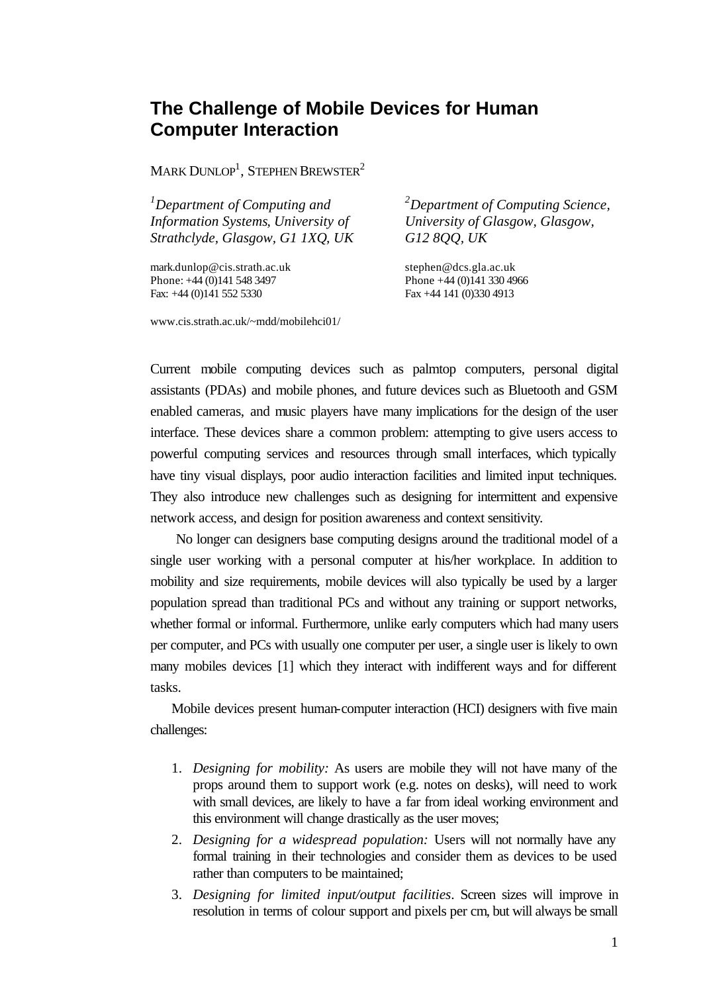## **The Challenge of Mobile Devices for Human Computer Interaction**

MARK  $\text{DUNLOP}^1$ , Stephen Brewster $^2$ 

*<sup>1</sup>Department of Computing and Information Systems, University of Strathclyde, Glasgow, G1 1XQ, UK*

mark.dunlop@cis.strath.ac.uk Phone: +44 (0)141 548 3497 Fax: +44 (0)141 552 5330

*<sup>2</sup>Department of Computing Science, University of Glasgow, Glasgow, G12 8QQ, UK*

stephen@dcs.gla.ac.uk Phone +44 (0)141 330 4966 Fax +44 141 (0)330 4913

www.cis.strath.ac.uk/~mdd/mobilehci01/

Current mobile computing devices such as palmtop computers, personal digital assistants (PDAs) and mobile phones, and future devices such as Bluetooth and GSM enabled cameras, and music players have many implications for the design of the user interface. These devices share a common problem: attempting to give users access to powerful computing services and resources through small interfaces, which typically have tiny visual displays, poor audio interaction facilities and limited input techniques. They also introduce new challenges such as designing for intermittent and expensive network access, and design for position awareness and context sensitivity.

No longer can designers base computing designs around the traditional model of a single user working with a personal computer at his/her workplace. In addition to mobility and size requirements, mobile devices will also typically be used by a larger population spread than traditional PCs and without any training or support networks, whether formal or informal. Furthermore, unlike early computers which had many users per computer, and PCs with usually one computer per user, a single user is likely to own many mobiles devices [1] which they interact with indifferent ways and for different tasks.

Mobile devices present human-computer interaction (HCI) designers with five main challenges:

- 1. *Designing for mobility:* As users are mobile they will not have many of the props around them to support work (e.g. notes on desks), will need to work with small devices, are likely to have a far from ideal working environment and this environment will change drastically as the user moves;
- 2. *Designing for a widespread population:* Users will not normally have any formal training in their technologies and consider them as devices to be used rather than computers to be maintained;
- 3. *Designing for limited input/output facilities*. Screen sizes will improve in resolution in terms of colour support and pixels per cm, but will always be small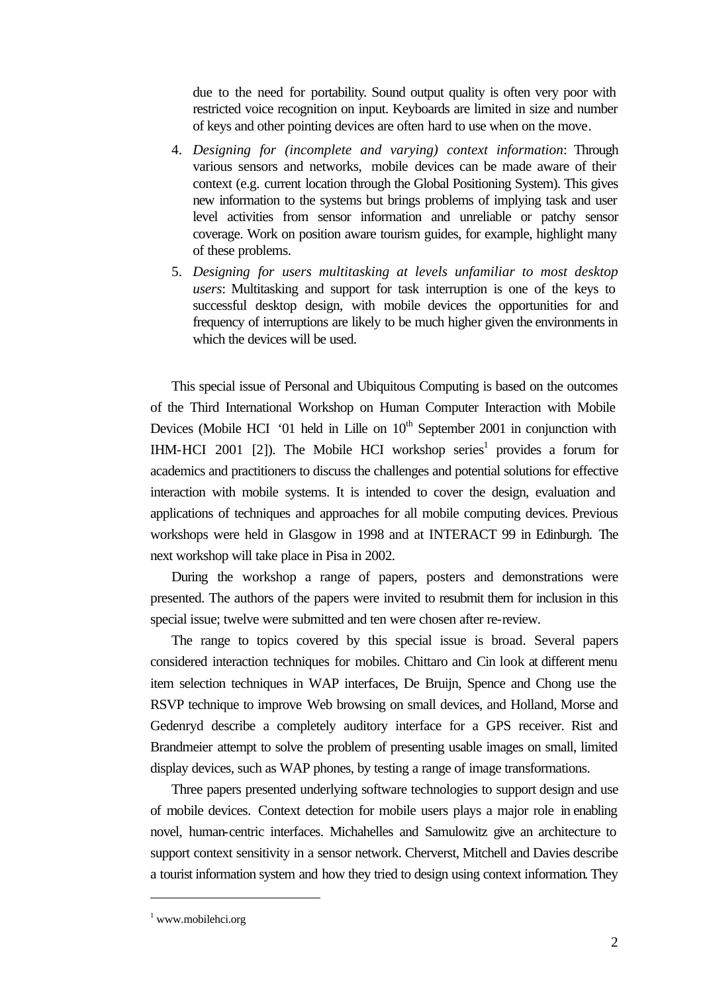due to the need for portability. Sound output quality is often very poor with restricted voice recognition on input. Keyboards are limited in size and number of keys and other pointing devices are often hard to use when on the move.

- 4. *Designing for (incomplete and varying) context information*: Through various sensors and networks, mobile devices can be made aware of their context (e.g. current location through the Global Positioning System). This gives new information to the systems but brings problems of implying task and user level activities from sensor information and unreliable or patchy sensor coverage. Work on position aware tourism guides, for example, highlight many of these problems.
- 5. *Designing for users multitasking at levels unfamiliar to most desktop users*: Multitasking and support for task interruption is one of the keys to successful desktop design, with mobile devices the opportunities for and frequency of interruptions are likely to be much higher given the environments in which the devices will be used.

This special issue of Personal and Ubiquitous Computing is based on the outcomes of the Third International Workshop on Human Computer Interaction with Mobile Devices (Mobile HCI '01 held in Lille on  $10<sup>th</sup>$  September 2001 in conjunction with IHM-HCI 2001 [2]). The Mobile HCI workshop series<sup>1</sup> provides a forum for academics and practitioners to discuss the challenges and potential solutions for effective interaction with mobile systems. It is intended to cover the design, evaluation and applications of techniques and approaches for all mobile computing devices. Previous workshops were held in Glasgow in 1998 and at INTERACT 99 in Edinburgh. The next workshop will take place in Pisa in 2002.

During the workshop a range of papers, posters and demonstrations were presented. The authors of the papers were invited to resubmit them for inclusion in this special issue; twelve were submitted and ten were chosen after re-review.

The range to topics covered by this special issue is broad. Several papers considered interaction techniques for mobiles. Chittaro and Cin look at different menu item selection techniques in WAP interfaces, De Bruijn, Spence and Chong use the RSVP technique to improve Web browsing on small devices, and Holland, Morse and Gedenryd describe a completely auditory interface for a GPS receiver. Rist and Brandmeier attempt to solve the problem of presenting usable images on small, limited display devices, such as WAP phones, by testing a range of image transformations.

Three papers presented underlying software technologies to support design and use of mobile devices. Context detection for mobile users plays a major role in enabling novel, human-centric interfaces. Michahelles and Samulowitz give an architecture to support context sensitivity in a sensor network. Cherverst, Mitchell and Davies describe a tourist information system and how they tried to design using context information. They

l

<sup>1</sup> www.mobilehci.org